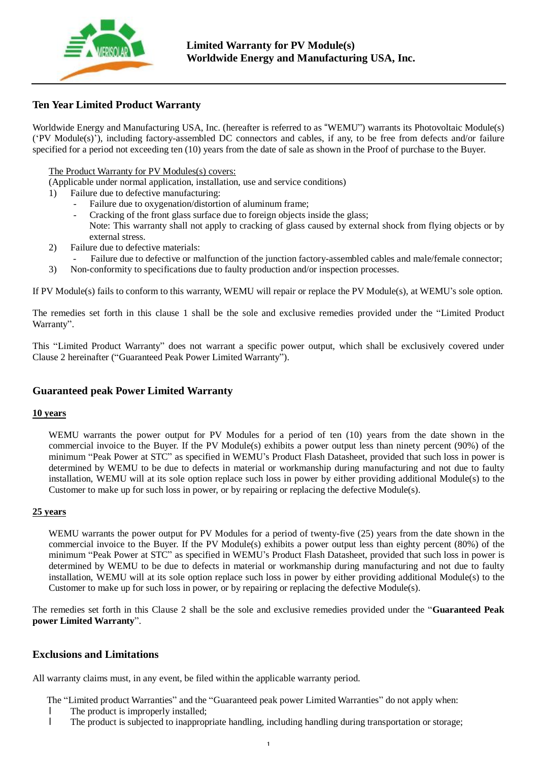

# **Ten Year Limited Product Warranty**

Worldwide Energy and Manufacturing USA, Inc. (hereafter is referred to as "WEMU") warrants its Photovoltaic Module(s) ('PV Module(s)'), including factory-assembled DC connectors and cables, if any, to be free from defects and/or failure specified for a period not exceeding ten (10) years from the date of sale as shown in the Proof of purchase to the Buyer.

### The Product Warranty for PV Modules(s) covers:

(Applicable under normal application, installation, use and service conditions)

- 1) Failure due to defective manufacturing:
	- Failure due to oxygenation/distortion of aluminum frame;
	- Cracking of the front glass surface due to foreign objects inside the glass:
	- Note: This warranty shall not apply to cracking of glass caused by external shock from flying objects or by external stress.
- 2) Failure due to defective materials:
	- Failure due to defective or malfunction of the junction factory-assembled cables and male/female connector;
- 3) Non-conformity to specifications due to faulty production and/or inspection processes.

If PV Module(s) fails to conform to this warranty, WEMU will repair or replace the PV Module(s), at WEMU's sole option.

The remedies set forth in this clause 1 shall be the sole and exclusive remedies provided under the "Limited Product Warranty".

This "Limited Product Warranty" does not warrant a specific power output, which shall be exclusively covered under Clause 2 hereinafter ("Guaranteed Peak Power Limited Warranty").

## **Guaranteed peak Power Limited Warranty**

#### **10 years**

WEMU warrants the power output for PV Modules for a period of ten (10) years from the date shown in the commercial invoice to the Buyer. If the PV Module(s) exhibits a power output less than ninety percent (90%) of the minimum "Peak Power at STC" as specified in WEMU's Product Flash Datasheet, provided that such loss in power is determined by WEMU to be due to defects in material or workmanship during manufacturing and not due to faulty installation, WEMU will at its sole option replace such loss in power by either providing additional Module(s) to the Customer to make up for such loss in power, or by repairing or replacing the defective Module(s).

#### **25 years**

WEMU warrants the power output for PV Modules for a period of twenty-five (25) years from the date shown in the commercial invoice to the Buyer. If the PV Module(s) exhibits a power output less than eighty percent (80%) of the minimum "Peak Power at STC" as specified in WEMU's Product Flash Datasheet, provided that such loss in power is determined by WEMU to be due to defects in material or workmanship during manufacturing and not due to faulty installation, WEMU will at its sole option replace such loss in power by either providing additional Module(s) to the Customer to make up for such loss in power, or by repairing or replacing the defective Module(s).

The remedies set forth in this Clause 2 shall be the sole and exclusive remedies provided under the "**Guaranteed Peak power Limited Warranty**".

### **Exclusions and Limitations**

All warranty claims must, in any event, be filed within the applicable warranty period.

The "Limited product Warranties" and the "Guaranteed peak power Limited Warranties" do not apply when:

- l The product is improperly installed;
- l The product is subjected to inappropriate handling, including handling during transportation or storage;